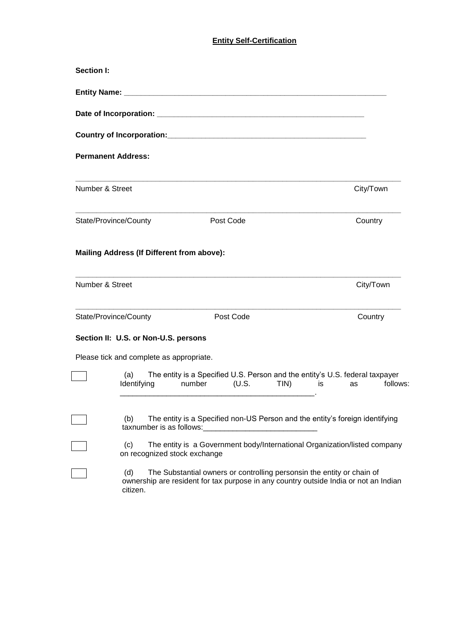# **Entity Self-Certification**

| Section I:      |                                                   |                                                                                                                                                                |          |
|-----------------|---------------------------------------------------|----------------------------------------------------------------------------------------------------------------------------------------------------------------|----------|
|                 |                                                   |                                                                                                                                                                |          |
|                 |                                                   |                                                                                                                                                                |          |
|                 |                                                   |                                                                                                                                                                |          |
|                 | <b>Permanent Address:</b>                         |                                                                                                                                                                |          |
| Number & Street |                                                   | City/Town                                                                                                                                                      |          |
|                 | State/Province/County<br>Post Code                | Country                                                                                                                                                        |          |
|                 | <b>Mailing Address (If Different from above):</b> |                                                                                                                                                                |          |
| Number & Street |                                                   | City/Town                                                                                                                                                      |          |
|                 | State/Province/County<br>Post Code                | Country                                                                                                                                                        |          |
|                 | Section II: U.S. or Non-U.S. persons              |                                                                                                                                                                |          |
|                 | Please tick and complete as appropriate.          |                                                                                                                                                                |          |
|                 | (a)<br>Identifying<br>number                      | The entity is a Specified U.S. Person and the entity's U.S. federal taxpayer<br>$(U.S.$ TIN) is<br>as                                                          | follows: |
|                 | (b)<br>taxnumber is as follows:                   | The entity is a Specified non-US Person and the entity's foreign identifying                                                                                   |          |
|                 | (c)<br>on recognized stock exchange               | The entity is a Government body/International Organization/listed company                                                                                      |          |
|                 | (d)<br>citizen.                                   | The Substantial owners or controlling personsin the entity or chain of<br>ownership are resident for tax purpose in any country outside India or not an Indian |          |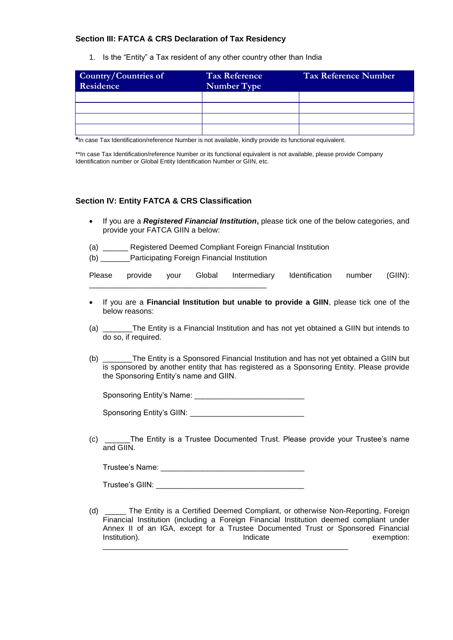## **Section III: FATCA & CRS Declaration of Tax Residency**

1. Is the "Entity" a Tax resident of any other country other than India

| Country/Countries of<br>Residence | <b>Tax Reference</b><br><b>Number Type</b> | Tax Reference Number |
|-----------------------------------|--------------------------------------------|----------------------|
|                                   |                                            |                      |
|                                   |                                            |                      |
|                                   |                                            |                      |
|                                   |                                            |                      |

**\***In case Tax Identification/reference Number is not available, kindly provide its functional equivalent.

\*\*In case Tax Identification/reference Number or its functional equivalent is not available, please provide Company Identification number or Global Entity Identification Number or GIIN, etc.

### **Section IV: Entity FATCA & CRS Classification**

- If you are a *Registered Financial Institution***,** please tick one of the below categories, and provide your FATCA GIIN a below:
- (a) \_\_\_\_\_\_ Registered Deemed Compliant Foreign Financial Institution
- (b) \_\_\_\_\_\_\_Participating Foreign Financial Institution

\_\_\_\_\_\_\_\_\_\_\_\_\_\_\_\_\_\_\_\_\_\_\_\_\_\_\_\_\_\_\_\_\_\_\_\_\_\_\_\_\_\_

- Please provide your Global Intermediary Identification number (GIIN):
- If you are a **Financial Institution but unable to provide a GIIN**, please tick one of the below reasons:
- (a) \_\_\_\_\_\_\_The Entity is a Financial Institution and has not yet obtained a GIIN but intends to do so, if required.
- (b) \_\_\_\_\_\_\_The Entity is a Sponsored Financial Institution and has not yet obtained a GIIN but is sponsored by another entity that has registered as a Sponsoring Entity. Please provide the Sponsoring Entity's name and GIIN.

Sponsoring Entity's Name:

Sponsoring Entity's GIIN:

(c) \_\_\_\_\_\_The Entity is a Trustee Documented Trust. Please provide your Trustee's name and GIIN.

Trustee's Name: \_\_\_\_\_\_\_\_\_\_\_\_\_\_\_\_\_\_\_\_\_\_\_\_\_\_\_\_\_\_\_\_\_\_

Trustee's GIIN: \_\_\_\_\_\_\_\_\_\_\_\_\_\_\_\_\_\_\_\_\_\_\_\_\_\_\_\_\_\_\_\_\_\_\_

(d) \_\_\_\_\_ The Entity is a Certified Deemed Compliant, or otherwise Non-Reporting, Foreign Financial Institution (including a Foreign Financial Institution deemed compliant under Annex II of an IGA, except for a Trustee Documented Trust or Sponsored Financial Institution). The exemption: indicate the exemption: the exemption: \_\_\_\_\_\_\_\_\_\_\_\_\_\_\_\_\_\_\_\_\_\_\_\_\_\_\_\_\_\_\_\_\_\_\_\_\_\_\_\_\_\_\_\_\_\_\_\_\_\_\_\_\_\_\_\_\_\_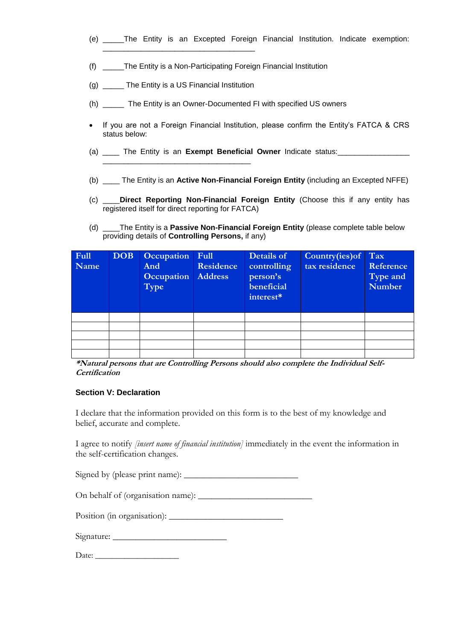- (e) \_\_\_\_\_The Entity is an Excepted Foreign Financial Institution. Indicate exemption:
- (f) \_\_\_\_\_The Entity is a Non-Participating Foreign Financial Institution
- (g) \_\_\_\_\_\_ The Entity is a US Financial Institution

\_\_\_\_\_\_\_\_\_\_\_\_\_\_\_\_\_\_\_\_\_\_\_\_\_\_\_\_\_\_\_\_\_\_\_

\_\_\_\_\_\_\_\_\_\_\_\_\_\_\_\_\_\_\_\_\_\_\_\_\_\_\_\_\_\_\_\_\_\_\_\_

- (h) \_\_\_\_\_ The Entity is an Owner-Documented FI with specified US owners
- If you are not a Foreign Financial Institution, please confirm the Entity's FATCA & CRS status below:
- (a) The Entity is an **Exempt Beneficial Owner** Indicate status:
- (b) \_\_\_\_ The Entity is an **Active Non-Financial Foreign Entity** (including an Excepted NFFE)
- (c) \_\_\_\_**Direct Reporting Non-Financial Foreign Entity** (Choose this if any entity has registered itself for direct reporting for FATCA)
- (d) \_\_\_\_The Entity is a **Passive Non-Financial Foreign Entity** (please complete table below providing details of **Controlling Persons,** if any)

| <b>Full</b><br>Name | DOB | Occupation<br>And<br>Occupation<br>Type | $ $ Full<br>Residence<br><b>Address</b> | Details of<br>controlling<br>person's<br>beneficial<br>interest* | Country(ies) of Tax<br>tax residence | Reference<br>Type and<br><b>Number</b> |
|---------------------|-----|-----------------------------------------|-----------------------------------------|------------------------------------------------------------------|--------------------------------------|----------------------------------------|
|                     |     |                                         |                                         |                                                                  |                                      |                                        |
|                     |     |                                         |                                         |                                                                  |                                      |                                        |
|                     |     |                                         |                                         |                                                                  |                                      |                                        |
|                     |     |                                         |                                         |                                                                  |                                      |                                        |
|                     |     |                                         |                                         |                                                                  |                                      |                                        |

**\*Natural persons that are Controlling Persons should also complete the Individual Self-Certification**

#### **Section V: Declaration**

I declare that the information provided on this form is to the best of my knowledge and belief, accurate and complete.

I agree to notify *[insert name of financial institution]* immediately in the event the information in the self-certification changes.

Signed by (please print name): \_\_\_\_\_\_\_\_\_\_\_\_\_\_\_\_\_\_\_\_\_\_\_\_\_

On behalf of (organisation name): \_\_\_\_\_\_\_\_\_\_\_\_\_\_\_\_\_\_\_\_\_\_\_\_\_

Position (in organisation): \_\_\_\_\_\_\_\_\_\_\_\_\_\_\_\_\_\_\_\_\_\_\_\_\_

| Signature: |  |
|------------|--|
|            |  |

Date: \_\_\_\_\_\_\_\_\_\_\_\_\_\_\_\_\_\_\_\_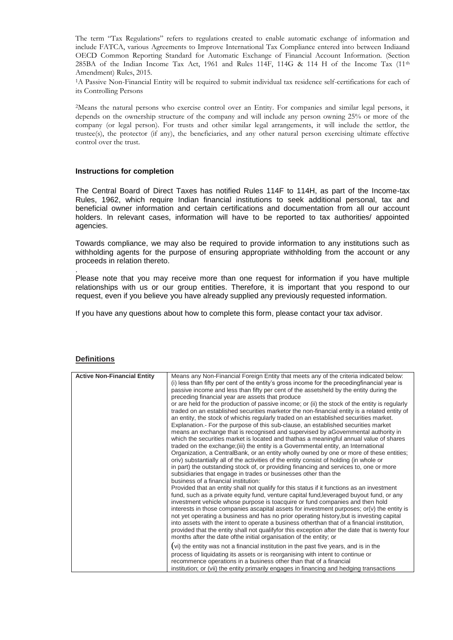The term "Tax Regulations" refers to regulations created to enable automatic exchange of information and include FATCA, various Agreements to Improve International Tax Compliance entered into between Indiaand OECD Common Reporting Standard for Automatic Exchange of Financial Account Information. (Section 285BA of the Indian Income Tax Act, 1961 and Rules 114F, 114G & 114 H of the Income Tax (11<sup>th</sup>) Amendment) Rules, 2015.

<sup>1</sup>A Passive Non-Financial Entity will be required to submit individual tax residence self-certifications for each of its Controlling Persons

<sup>2</sup>Means the natural persons who exercise control over an Entity. For companies and similar legal persons, it depends on the ownership structure of the company and will include any person owning 25% or more of the company (or legal person). For trusts and other similar legal arrangements, it will include the settlor, the trustee(s), the protector (if any), the beneficiaries, and any other natural person exercising ultimate effective control over the trust.

#### **Instructions for completion**

The Central Board of Direct Taxes has notified Rules 114F to 114H, as part of the Income-tax Rules, 1962, which require Indian financial institutions to seek additional personal, tax and beneficial owner information and certain certifications and documentation from all our account holders. In relevant cases, information will have to be reported to tax authorities/ appointed agencies.

Towards compliance, we may also be required to provide information to any institutions such as withholding agents for the purpose of ensuring appropriate withholding from the account or any proceeds in relation thereto.

Please note that you may receive more than one request for information if you have multiple relationships with us or our group entities. Therefore, it is important that you respond to our request, even if you believe you have already supplied any previously requested information.

If you have any questions about how to complete this form, please contact your tax advisor.

| <b>Active Non-Financial Entity</b> | Means any Non-Financial Foreign Entity that meets any of the criteria indicated below:           |
|------------------------------------|--------------------------------------------------------------------------------------------------|
|                                    | (i) less than fifty per cent of the entity's gross income for the preceding financial year is    |
|                                    | passive income and less than fifty per cent of the assetsheld by the entity during the           |
|                                    | preceding financial year are assets that produce                                                 |
|                                    | or are held for the production of passive income; or (ii) the stock of the entity is regularly   |
|                                    | traded on an established securities marketor the non-financial entity is a related entity of     |
|                                    | an entity, the stock of whichis regularly traded on an established securities market.            |
|                                    | Explanation.- For the purpose of this sub-clause, an established securities market               |
|                                    | means an exchange that is recognised and supervised by aGovernmental authority in                |
|                                    | which the securities market is located and thathas a meaningful annual value of shares           |
|                                    | traded on the exchange; (iii) the entity is a Governmental entity, an International              |
|                                    | Organization, a CentralBank, or an entity wholly owned by one or more of these entities;         |
|                                    | oriv) substantially all of the activities of the entity consist of holding (in whole or          |
|                                    | in part) the outstanding stock of, or providing financing and services to, one or more           |
|                                    | subsidiaries that engage in trades or businesses other than the                                  |
|                                    | business of a financial institution:                                                             |
|                                    | Provided that an entity shall not qualify for this status if it functions as an investment       |
|                                    | fund, such as a private equity fund, venture capital fund, leveraged buyout fund, or any         |
|                                    | investment vehicle whose purpose is toacquire or fund companies and then hold                    |
|                                    | interests in those companies ascapital assets for investment purposes; $or(v)$ the entity is     |
|                                    | not yet operating a business and has no prior operating history, but is investing capital        |
|                                    | into assets with the intent to operate a business otherthan that of a financial institution,     |
|                                    | provided that the entity shall not qualify for this exception after the date that is twenty four |
|                                    | months after the date of the initial organisation of the entity; or                              |
|                                    | (vi) the entity was not a financial institution in the past five years, and is in the            |
|                                    | process of liquidating its assets or is reorganising with intent to continue or                  |
|                                    | recommence operations in a business other than that of a financial                               |
|                                    | institution; or (vii) the entity primarily engages in financing and hedging transactions         |

#### **Definitions**

.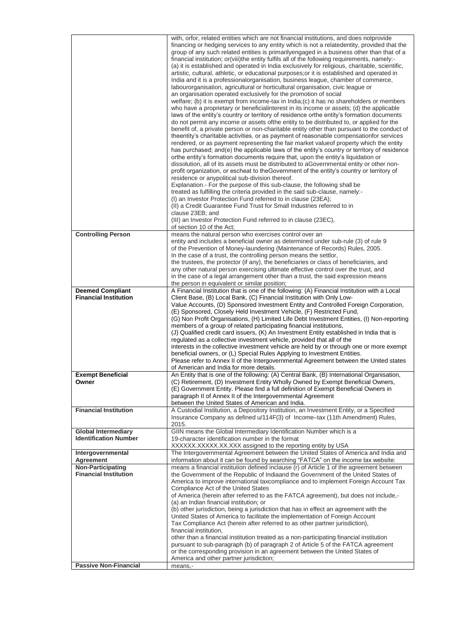|                                   | with, orfor, related entities which are not financial institutions, and does notprovide                                                                                                      |
|-----------------------------------|----------------------------------------------------------------------------------------------------------------------------------------------------------------------------------------------|
|                                   | financing or hedging services to any entity which is not a relatedentity, provided that the                                                                                                  |
|                                   | group of any such related entities is primarilyengaged in a business other than that of a<br>financial institution; or (viii) the entity fulfils all of the following requirements, namely:- |
|                                   | (a) it is established and operated in India exclusively for religious, charitable, scientific,                                                                                               |
|                                   | artistic, cultural, athletic, or educational purposes; or it is established and operated in                                                                                                  |
|                                   | India and it is a professionalorganisation, business league, chamber of commerce,                                                                                                            |
|                                   | labourorganisation, agricultural or horticultural organisation, civic league or                                                                                                              |
|                                   | an organisation operated exclusively for the promotion of social                                                                                                                             |
|                                   | welfare; (b) it is exempt from income-tax in India; (c) it has no shareholders or members<br>who have a proprietary or beneficialinterest in its income or assets; (d) the applicable        |
|                                   | laws of the entity's country or territory of residence orthe entity's formation documents                                                                                                    |
|                                   | do not permit any income or assets of the entity to be distributed to, or applied for the                                                                                                    |
|                                   | benefit of, a private person or non-charitable entity other than pursuant to the conduct of                                                                                                  |
|                                   | theentity's charitable activities, or as payment of reasonable compensationfor services                                                                                                      |
|                                   | rendered, or as payment representing the fair market value of property which the entity<br>has purchased; and(e) the applicable laws of the entity's country or territory of residence       |
|                                   | orthe entity's formation documents require that, upon the entity's liquidation or                                                                                                            |
|                                   | dissolution, all of its assets must be distributed to aGovernmental entity or other non-                                                                                                     |
|                                   | profit organization, or escheat to the Government of the entity's country or territory of                                                                                                    |
|                                   | residence or anypolitical sub-division thereof.                                                                                                                                              |
|                                   | Explanation.- For the purpose of this sub-clause, the following shall be<br>treated as fulfilling the criteria provided in the said sub-clause, namely:-                                     |
|                                   | (I) an Investor Protection Fund referred to in clause (23EA);                                                                                                                                |
|                                   | (II) a Credit Guarantee Fund Trust for Small Industries referred to in                                                                                                                       |
|                                   | clause 23EB; and                                                                                                                                                                             |
|                                   | (III) an Investor Protection Fund referred to in clause (23EC),<br>of section 10 of the Act;                                                                                                 |
| <b>Controlling Person</b>         | means the natural person who exercises control over an                                                                                                                                       |
|                                   | entity and includes a beneficial owner as determined under sub-rule (3) of rule 9                                                                                                            |
|                                   | of the Prevention of Money-laundering (Maintenance of Records) Rules, 2005.                                                                                                                  |
|                                   | In the case of a trust, the controlling person means the settlor,<br>the trustees, the protector (if any), the beneficiaries or class of beneficiaries, and                                  |
|                                   | any other natural person exercising ultimate effective control over the trust, and                                                                                                           |
|                                   | in the case of a legal arrangement other than a trust, the said expression means                                                                                                             |
|                                   | the person in equivalent or similar position;                                                                                                                                                |
| <b>Deemed Compliant</b>           | A Financial Institution that is one of the following: (A) Financial Institution with a Local                                                                                                 |
| <b>Financial Institution</b>      | Client Base, (B) Local Bank, (C) Financial Institution with Only Low-<br>Value Accounts, (D) Sponsored Investment Entity and Controlled Foreign Corporation,                                 |
|                                   | (E) Sponsored, Closely Held Investment Vehicle, (F) Restricted Fund,                                                                                                                         |
|                                   | (G) Non Profit Organisations, (H) Limited Life Debt Investment Entities, (I) Non-reporting                                                                                                   |
|                                   | members of a group of related participating financial institutions,                                                                                                                          |
|                                   | (J) Qualified credit card issuers, (K) An Investment Entity established in India that is                                                                                                     |
|                                   | regulated as a collective investment vehicle, provided that all of the<br>interests in the collective investment vehicle are held by or through one or more exempt                           |
|                                   | beneficial owners, or (L) Special Rules Applying to Investment Entities.                                                                                                                     |
|                                   | Please refer to Annex II of the Intergovernmental Agreement between the United states                                                                                                        |
|                                   | of American and India for more details.                                                                                                                                                      |
| <b>Exempt Beneficial</b><br>Owner | An Entity that is one of the following: (A) Central Bank, (B) International Organisation,<br>(C) Retirement, (D) Investment Entity Wholly Owned by Exempt Beneficial Owners,                 |
|                                   | (E) Government Entity. Please find a full definition of Exempt Beneficial Owners in                                                                                                          |
|                                   | paragraph II of Annex II of the Intergovernmental Agreement                                                                                                                                  |
|                                   | between the United States of American and India.                                                                                                                                             |
| <b>Financial Institution</b>      | A Custodial Institution, a Depository Institution, an Investment Entity, or a Specified                                                                                                      |
|                                   | Insurance Company as defined u/114F(3) of Income-tax (11th Amendment) Rules,<br>2015.                                                                                                        |
| <b>Global Intermediary</b>        | GIIN means the Global Intermediary Identification Number which is a                                                                                                                          |
| <b>Identification Number</b>      | 19-character identification number in the format                                                                                                                                             |
|                                   | XXXXXX.XXXX.XX.XXX assigned to the reporting entity by USA                                                                                                                                   |
| Intergovernmental<br>Agreement    | The Intergovernmental Agreement between the United States of America and India and<br>information about it can be found by searching "FATCA" on the income tax website:                      |
| <b>Non-Participating</b>          | means a financial institution defined inclause (r) of Article 1 of the agreement between                                                                                                     |
| <b>Financial Institution</b>      | the Government of the Republic of Indiaand the Government of the United States of                                                                                                            |
|                                   | America to improve international taxcompliance and to implement Foreign Account Tax                                                                                                          |
|                                   | Compliance Act of the United States                                                                                                                                                          |
|                                   | of America (herein after referred to as the FATCA agreement), but does not include,-<br>(a) an Indian financial institution; or                                                              |
|                                   | (b) other jurisdiction, being a jurisdiction that has in effect an agreement with the                                                                                                        |
|                                   | United States of America to facilitate the implementation of Foreign Account                                                                                                                 |
|                                   | Tax Compliance Act (herein after referred to as other partner jurisdiction),                                                                                                                 |
|                                   | financial institution,                                                                                                                                                                       |
|                                   | other than a financial institution treated as a non-participating financial institution<br>pursuant to sub-paragraph (b) of paragraph 2 of Article 5 of the FATCA agreement                  |
|                                   | or the corresponding provision in an agreement between the United States of                                                                                                                  |
|                                   | America and other partner jurisdiction;                                                                                                                                                      |
| <b>Passive Non-Financial</b>      | means,-                                                                                                                                                                                      |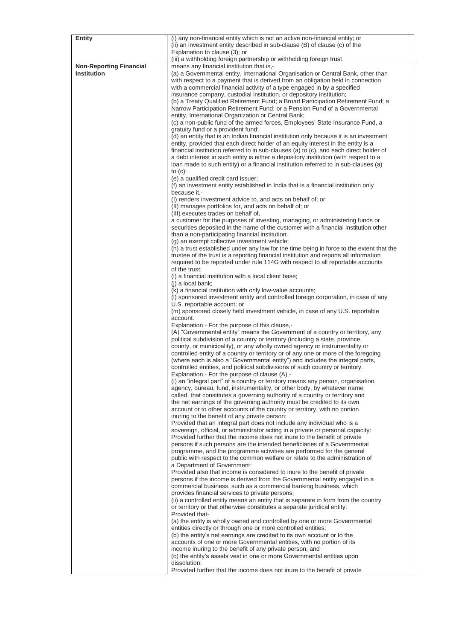| <b>Entity</b>                  | (i) any non-financial entity which is not an active non-financial entity; or                                                                          |
|--------------------------------|-------------------------------------------------------------------------------------------------------------------------------------------------------|
|                                | (ii) an investment entity described in sub-clause (B) of clause (c) of the                                                                            |
|                                | Explanation to clause (3); or                                                                                                                         |
|                                | (iii) a withholding foreign partnership or withholding foreign trust.                                                                                 |
| <b>Non-Reporting Financial</b> | means any financial institution that is,-                                                                                                             |
| <b>Institution</b>             | (a) a Governmental entity, International Organisation or Central Bank, other than                                                                     |
|                                | with respect to a payment that is derived from an obligation held in connection                                                                       |
|                                | with a commercial financial activity of a type engaged in by a specified                                                                              |
|                                | insurance company, custodial institution, or depository institution;                                                                                  |
|                                | (b) a Treaty Qualified Retirement Fund; a Broad Participation Retirement Fund; a                                                                      |
|                                | Narrow Participation Retirement Fund; or a Pension Fund of a Governmental                                                                             |
|                                | entity, International Organization or Central Bank;                                                                                                   |
|                                | (c) a non-public fund of the armed forces, Employees' State Insurance Fund, a                                                                         |
|                                | gratuity fund or a provident fund;                                                                                                                    |
|                                | (d) an entity that is an Indian financial institution only because it is an investment                                                                |
|                                | entity, provided that each direct holder of an equity interest in the entity is a                                                                     |
|                                | financial institution referred to in sub-clauses (a) to (c), and each direct holder of                                                                |
|                                | a debt interest in such entity is either a depository institution (with respect to a                                                                  |
|                                | loan made to such entity) or a financial institution referred to in sub-clauses (a)                                                                   |
|                                | to $(c)$ ;                                                                                                                                            |
|                                | (e) a qualified credit card issuer;                                                                                                                   |
|                                | (f) an investment entity established in India that is a financial institution only<br>because it,-                                                    |
|                                | (I) renders investment advice to, and acts on behalf of; or                                                                                           |
|                                | (II) manages portfolios for, and acts on behalf of; or                                                                                                |
|                                | (III) executes trades on behalf of,                                                                                                                   |
|                                | a customer for the purposes of investing, managing, or administering funds or                                                                         |
|                                | securities deposited in the name of the customer with a financial institution other                                                                   |
|                                | than a non-participating financial institution;                                                                                                       |
|                                | (g) an exempt collective investment vehicle;                                                                                                          |
|                                | (h) a trust established under any law for the time being in force to the extent that the                                                              |
|                                | trustee of the trust is a reporting financial institution and reports all information                                                                 |
|                                | required to be reported under rule 114G with respect to all reportable accounts                                                                       |
|                                | of the trust:                                                                                                                                         |
|                                | (i) a financial institution with a local client base;                                                                                                 |
|                                | (j) a local bank;                                                                                                                                     |
|                                | (k) a financial institution with only low-value accounts;                                                                                             |
|                                | (I) sponsored investment entity and controlled foreign corporation, in case of any                                                                    |
|                                | U.S. reportable account; or                                                                                                                           |
|                                | (m) sponsored closely held investment vehicle, in case of any U.S. reportable                                                                         |
|                                | account.                                                                                                                                              |
|                                | Explanation. - For the purpose of this clause,-                                                                                                       |
|                                | (A) "Governmental entity" means the Government of a country or territory, any                                                                         |
|                                | political subdivision of a country or territory (including a state, province,                                                                         |
|                                | county, or municipality), or any wholly owned agency or instrumentality or                                                                            |
|                                | controlled entity of a country or territory or of any one or more of the foregoing                                                                    |
|                                | (where each is also a "Governmental entity") and includes the integral parts,                                                                         |
|                                | controlled entities, and political subdivisions of such country or territory.                                                                         |
|                                | Explanation.- For the purpose of clause (A),-                                                                                                         |
|                                | (i) an "integral part" of a country or territory means any person, organisation,                                                                      |
|                                | agency, bureau, fund, instrumentality, or other body, by whatever name                                                                                |
|                                | called, that constitutes a governing authority of a country or territory and                                                                          |
|                                | the net earnings of the governing authority must be credited to its own                                                                               |
|                                | account or to other accounts of the country or territory, with no portion                                                                             |
|                                | inuring to the benefit of any private person:                                                                                                         |
|                                | Provided that an integral part does not include any individual who is a                                                                               |
|                                | sovereign, official, or administrator acting in a private or personal capacity:                                                                       |
|                                | Provided further that the income does not inure to the benefit of private                                                                             |
|                                | persons if such persons are the intended beneficiaries of a Governmental                                                                              |
|                                | programme, and the programme activities are performed for the general<br>public with respect to the common welfare or relate to the administration of |
|                                | a Department of Government:                                                                                                                           |
|                                | Provided also that income is considered to inure to the benefit of private                                                                            |
|                                | persons if the income is derived from the Governmental entity engaged in a                                                                            |
|                                | commercial business, such as a commercial banking business, which                                                                                     |
|                                | provides financial services to private persons;                                                                                                       |
|                                | (ii) a controlled entity means an entity that is separate in form from the country                                                                    |
|                                | or territory or that otherwise constitutes a separate juridical entity:                                                                               |
|                                | Provided that-                                                                                                                                        |
|                                | (a) the entity is wholly owned and controlled by one or more Governmental                                                                             |
|                                | entities directly or through one or more controlled entities;                                                                                         |
|                                | (b) the entity's net earnings are credited to its own account or to the                                                                               |
|                                | accounts of one or more Governmental entities, with no portion of its                                                                                 |
|                                | income inuring to the benefit of any private person; and                                                                                              |
|                                | (c) the entity's assets vest in one or more Governmental entities upon                                                                                |
|                                | dissolution:                                                                                                                                          |
|                                | Provided further that the income does not inure to the benefit of private                                                                             |